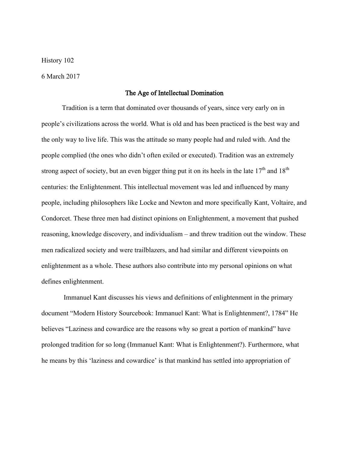History 102

6 March 2017

## The Age of Intellectual Domination

Tradition is a term that dominated over thousands of years, since very early on in people's civilizations across the world. What is old and has been practiced is the best way and the only way to live life. This was the attitude so many people had and ruled with. And the people complied (the ones who didn't often exiled or executed). Tradition was an extremely strong aspect of society, but an even bigger thing put it on its heels in the late  $17<sup>th</sup>$  and  $18<sup>th</sup>$ centuries: the Enlightenment. This intellectual movement was led and influenced by many people, including philosophers like Locke and Newton and more specifically Kant, Voltaire, and Condorcet. These three men had distinct opinions on Enlightenment, a movement that pushed reasoning, knowledge discovery, and individualism – and threw tradition out the window. These men radicalized society and were trailblazers, and had similar and different viewpoints on enlightenment as a whole. These authors also contribute into my personal opinions on what defines enlightenment.

 Immanuel Kant discusses his views and definitions of enlightenment in the primary document "Modern History Sourcebook: Immanuel Kant: What is Enlightenment?, 1784" He believes "Laziness and cowardice are the reasons why so great a portion of mankind" have prolonged tradition for so long (Immanuel Kant: What is Enlightenment?). Furthermore, what he means by this 'laziness and cowardice' is that mankind has settled into appropriation of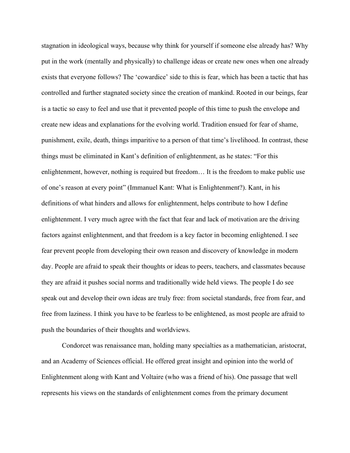stagnation in ideological ways, because why think for yourself if someone else already has? Why put in the work (mentally and physically) to challenge ideas or create new ones when one already exists that everyone follows? The 'cowardice' side to this is fear, which has been a tactic that has controlled and further stagnated society since the creation of mankind. Rooted in our beings, fear is a tactic so easy to feel and use that it prevented people of this time to push the envelope and create new ideas and explanations for the evolving world. Tradition ensued for fear of shame, punishment, exile, death, things imparitive to a person of that time's livelihood. In contrast, these things must be eliminated in Kant's definition of enlightenment, as he states: "For this enlightenment, however, nothing is required but freedom… It is the freedom to make public use of one's reason at every point" (Immanuel Kant: What is Enlightenment?). Kant, in his definitions of what hinders and allows for enlightenment, helps contribute to how I define enlightenment. I very much agree with the fact that fear and lack of motivation are the driving factors against enlightenment, and that freedom is a key factor in becoming enlightened. I see fear prevent people from developing their own reason and discovery of knowledge in modern day. People are afraid to speak their thoughts or ideas to peers, teachers, and classmates because they are afraid it pushes social norms and traditionally wide held views. The people I do see speak out and develop their own ideas are truly free: from societal standards, free from fear, and free from laziness. I think you have to be fearless to be enlightened, as most people are afraid to push the boundaries of their thoughts and worldviews.

Condorcet was renaissance man, holding many specialties as a mathematician, aristocrat, and an Academy of Sciences official. He offered great insight and opinion into the world of Enlightenment along with Kant and Voltaire (who was a friend of his). One passage that well represents his views on the standards of enlightenment comes from the primary document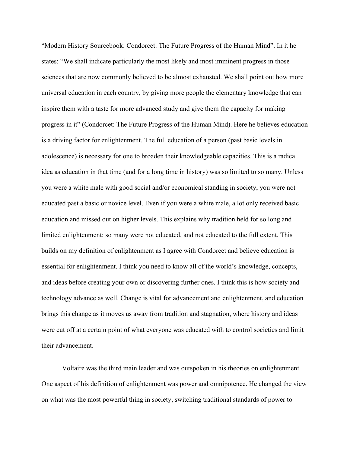"Modern History Sourcebook: Condorcet: The Future Progress of the Human Mind". In it he states: "We shall indicate particularly the most likely and most imminent progress in those sciences that are now commonly believed to be almost exhausted. We shall point out how more universal education in each country, by giving more people the elementary knowledge that can inspire them with a taste for more advanced study and give them the capacity for making progress in it" (Condorcet: The Future Progress of the Human Mind). Here he believes education is a driving factor for enlightenment. The full education of a person (past basic levels in adolescence) is necessary for one to broaden their knowledgeable capacities. This is a radical idea as education in that time (and for a long time in history) was so limited to so many. Unless you were a white male with good social and/or economical standing in society, you were not educated past a basic or novice level. Even if you were a white male, a lot only received basic education and missed out on higher levels. This explains why tradition held for so long and limited enlightenment: so many were not educated, and not educated to the full extent. This builds on my definition of enlightenment as I agree with Condorcet and believe education is essential for enlightenment. I think you need to know all of the world's knowledge, concepts, and ideas before creating your own or discovering further ones. I think this is how society and technology advance as well. Change is vital for advancement and enlightenment, and education brings this change as it moves us away from tradition and stagnation, where history and ideas were cut off at a certain point of what everyone was educated with to control societies and limit their advancement.

Voltaire was the third main leader and was outspoken in his theories on enlightenment. One aspect of his definition of enlightenment was power and omnipotence. He changed the view on what was the most powerful thing in society, switching traditional standards of power to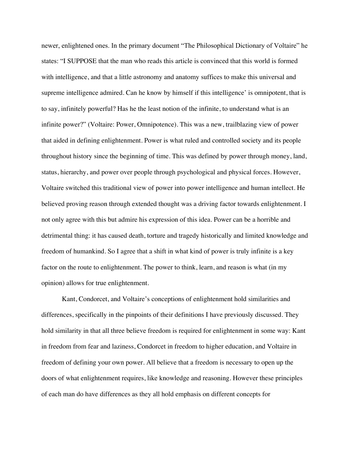newer, enlightened ones. In the primary document "The Philosophical Dictionary of Voltaire" he states: "I SUPPOSE that the man who reads this article is convinced that this world is formed with intelligence, and that a little astronomy and anatomy suffices to make this universal and supreme intelligence admired. Can he know by himself if this intelligence' is omnipotent, that is to say, infinitely powerful? Has he the least notion of the infinite, to understand what is an infinite power?" (Voltaire: Power, Omnipotence). This was a new, trailblazing view of power that aided in defining enlightenment. Power is what ruled and controlled society and its people throughout history since the beginning of time. This was defined by power through money, land, status, hierarchy, and power over people through psychological and physical forces. However, Voltaire switched this traditional view of power into power intelligence and human intellect. He believed proving reason through extended thought was a driving factor towards enlightenment. I not only agree with this but admire his expression of this idea. Power can be a horrible and detrimental thing: it has caused death, torture and tragedy historically and limited knowledge and freedom of humankind. So I agree that a shift in what kind of power is truly infinite is a key factor on the route to enlightenment. The power to think, learn, and reason is what (in my opinion) allows for true enlightenment.

Kant, Condorcet, and Voltaire's conceptions of enlightenment hold similarities and differences, specifically in the pinpoints of their definitions I have previously discussed. They hold similarity in that all three believe freedom is required for enlightenment in some way: Kant in freedom from fear and laziness, Condorcet in freedom to higher education, and Voltaire in freedom of defining your own power. All believe that a freedom is necessary to open up the doors of what enlightenment requires, like knowledge and reasoning. However these principles of each man do have differences as they all hold emphasis on different concepts for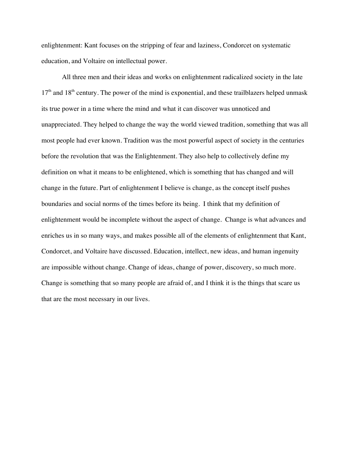enlightenment: Kant focuses on the stripping of fear and laziness, Condorcet on systematic education, and Voltaire on intellectual power.

All three men and their ideas and works on enlightenment radicalized society in the late  $17<sup>th</sup>$  and  $18<sup>th</sup>$  century. The power of the mind is exponential, and these trailblazers helped unmask its true power in a time where the mind and what it can discover was unnoticed and unappreciated. They helped to change the way the world viewed tradition, something that was all most people had ever known. Tradition was the most powerful aspect of society in the centuries before the revolution that was the Enlightenment. They also help to collectively define my definition on what it means to be enlightened, which is something that has changed and will change in the future. Part of enlightenment I believe is change, as the concept itself pushes boundaries and social norms of the times before its being. I think that my definition of enlightenment would be incomplete without the aspect of change. Change is what advances and enriches us in so many ways, and makes possible all of the elements of enlightenment that Kant, Condorcet, and Voltaire have discussed. Education, intellect, new ideas, and human ingenuity are impossible without change. Change of ideas, change of power, discovery, so much more. Change is something that so many people are afraid of, and I think it is the things that scare us that are the most necessary in our lives.